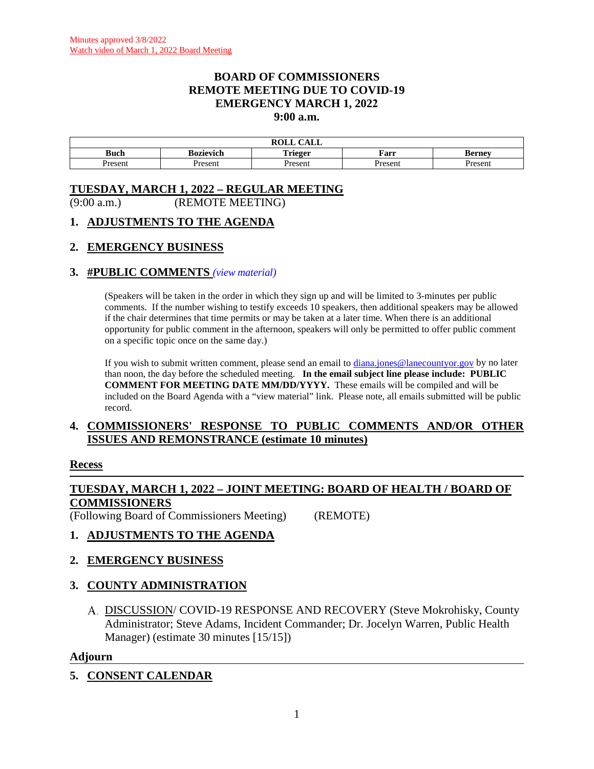#### **BOARD OF COMMISSIONERS REMOTE MEETING DUE TO COVID-19 EMERGENCY MARCH 1, 2022 9:00 a.m.**

|                |           | $\bigcap$ $\bigcap$ $\bigcap$<br>n ^ <del>.</del> .<br>ROLL<br>САБЕ |                |               |
|----------------|-----------|---------------------------------------------------------------------|----------------|---------------|
| <b>Buch</b>    | Bozievich | Trieger                                                             | Farr           | <b>Berney</b> |
| Jrocon<br>55.C | Present   | resen                                                               | <b>Present</b> | resen         |

# **TUESDAY, MARCH 1, 2022 – REGULAR MEETING**

(9:00 a.m.) (REMOTE MEETING)

#### **1. ADJUSTMENTS TO THE AGENDA**

### **2. EMERGENCY BUSINESS**

#### **3. #PUBLIC COMMENTS** *(view [material\)](http://www.lanecountyor.gov/UserFiles/Servers/Server_3585797/File/Government/BCC/2022/2022_AGENDAS/030122agenda/T.3.pdf)*

(Speakers will be taken in the order in which they sign up and will be limited to 3-minutes per public comments. If the number wishing to testify exceeds 10 speakers, then additional speakers may be allowed if the chair determines that time permits or may be taken at a later time. When there is an additional opportunity for public comment in the afternoon, speakers will only be permitted to offer public comment on a specific topic once on the same day.)

If you wish to submit written comment, please send an email to [diana.jones@lanecountyor.gov](mailto:diana.jones@lanecountyor.gov) by no later than noon, the day before the scheduled meeting. **In the email subject line please include: PUBLIC COMMENT FOR MEETING DATE MM/DD/YYYY.** These emails will be compiled and will be included on the Board Agenda with a "view material" link. Please note, all emails submitted will be public record.

### **4. COMMISSIONERS' RESPONSE TO PUBLIC COMMENTS AND/OR OTHER ISSUES AND REMONSTRANCE (estimate 10 minutes)**

#### **Recess**

# **TUESDAY, MARCH 1, 2022 – JOINT MEETING: BOARD OF HEALTH / BOARD OF COMMISSIONERS**

(Following Board of Commissioners Meeting) (REMOTE)

# **1. ADJUSTMENTS TO THE AGENDA**

# **2. EMERGENCY BUSINESS**

# **3. COUNTY ADMINISTRATION**

DISCUSSION/ COVID-19 RESPONSE AND RECOVERY (Steve Mokrohisky, County Administrator; Steve Adams, Incident Commander; Dr. Jocelyn Warren, Public Health Manager) (estimate 30 minutes [15/15])

#### **Adjourn**

# **5. CONSENT CALENDAR**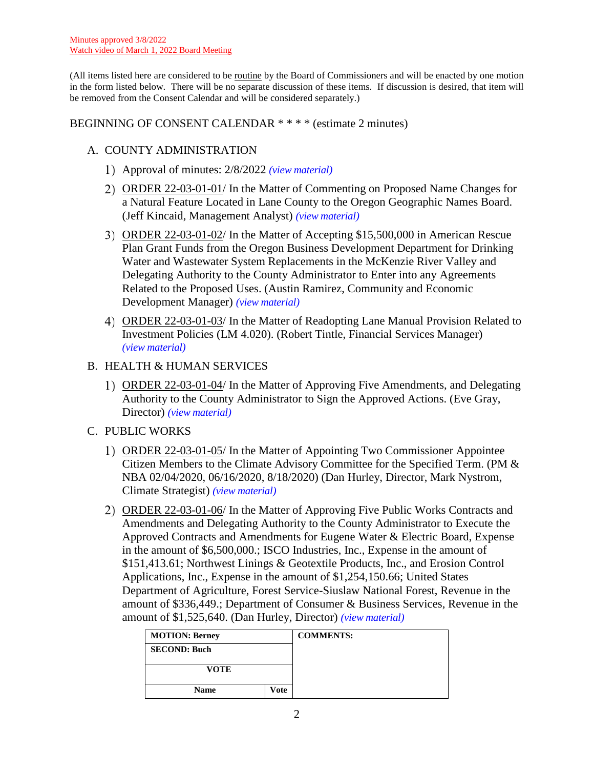(All items listed here are considered to be routine by the Board of Commissioners and will be enacted by one motion in the form listed below. There will be no separate discussion of these items. If discussion is desired, that item will be removed from the Consent Calendar and will be considered separately.)

## BEGINNING OF CONSENT CALENDAR \* \* \* \* (estimate 2 minutes)

# A. COUNTY ADMINISTRATION

- Approval of minutes: 2/8/2022 *(view [material\)](http://www.lanecountyor.gov/UserFiles/Servers/Server_3585797/File/Government/BCC/2022/2022_AGENDAS/030122agenda/T.5.A.1.pdf)*
- ORDER 22-03-01-01/ In the Matter of Commenting on Proposed Name Changes for a Natural Feature Located in Lane County to the Oregon Geographic Names Board. (Jeff Kincaid, Management Analyst) *(view [material\)](http://www.lanecountyor.gov/UserFiles/Servers/Server_3585797/File/Government/BCC/2022/2022_AGENDAS/030122agenda/T.5.A.2.pdf)*
- ORDER 22-03-01-02/ In the Matter of Accepting \$15,500,000 in American Rescue Plan Grant Funds from the Oregon Business Development Department for Drinking Water and Wastewater System Replacements in the McKenzie River Valley and Delegating Authority to the County Administrator to Enter into any Agreements Related to the Proposed Uses. (Austin Ramirez, Community and Economic Development Manager) *(view [material\)](http://www.lanecountyor.gov/UserFiles/Servers/Server_3585797/File/Government/BCC/2022/2022_AGENDAS/030122agenda/T.5.A.3.pdf)*
- ORDER 22-03-01-03/ In the Matter of Readopting Lane Manual Provision Related to Investment Policies (LM 4.020). (Robert Tintle, Financial Services Manager) *(view [material\)](http://www.lanecountyor.gov/UserFiles/Servers/Server_3585797/File/Government/BCC/2022/2022_AGENDAS/030122agenda/T.5.A.4.pdf)*

# B. HEALTH & HUMAN SERVICES

ORDER 22-03-01-04/ In the Matter of Approving Five Amendments, and Delegating Authority to the County Administrator to Sign the Approved Actions. (Eve Gray, Director) *(view [material\)](http://www.lanecountyor.gov/UserFiles/Servers/Server_3585797/File/Government/BCC/2022/2022_AGENDAS/030122agenda/T.5.B.1.pdf)*

# C. PUBLIC WORKS

- ORDER 22-03-01-05/ In the Matter of Appointing Two Commissioner Appointee Citizen Members to the Climate Advisory Committee for the Specified Term. (PM & NBA 02/04/2020, 06/16/2020, 8/18/2020) (Dan Hurley, Director, Mark Nystrom, Climate Strategist) *(view [material\)](http://www.lanecountyor.gov/UserFiles/Servers/Server_3585797/File/Government/BCC/2022/2022_AGENDAS/030122agenda/T.5.C.1.pdf)*
- ORDER 22-03-01-06/ In the Matter of Approving Five Public Works Contracts and Amendments and Delegating Authority to the County Administrator to Execute the Approved Contracts and Amendments for Eugene Water & Electric Board, Expense in the amount of \$6,500,000.; ISCO Industries, Inc., Expense in the amount of \$151,413.61; Northwest Linings & Geotextile Products, Inc., and Erosion Control Applications, Inc., Expense in the amount of \$1,254,150.66; United States Department of Agriculture, Forest Service-Siuslaw National Forest, Revenue in the amount of \$336,449.; Department of Consumer & Business Services, Revenue in the amount of \$1,525,640. (Dan Hurley, Director) *(view [material\)](http://www.lanecountyor.gov/UserFiles/Servers/Server_3585797/File/Government/BCC/2022/2022_AGENDAS/030122agenda/T.5.C.2.pdf)*

| <b>MOTION: Berney</b> |      | <b>COMMENTS:</b> |
|-----------------------|------|------------------|
| <b>SECOND: Buch</b>   |      |                  |
| <b>VOTE</b>           |      |                  |
| <b>Name</b>           | Vote |                  |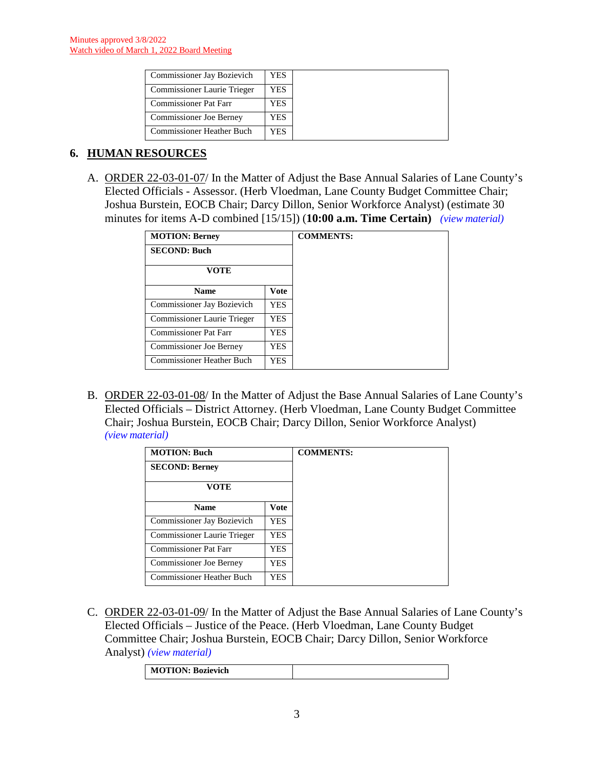| <b>Commissioner Jay Bozievich</b>  | YES. |
|------------------------------------|------|
| <b>Commissioner Laurie Trieger</b> | YES  |
| <b>Commissioner Pat Farr</b>       | YES  |
| <b>Commissioner Joe Berney</b>     | YES  |
| <b>Commissioner Heather Buch</b>   | YES. |

# **6. HUMAN RESOURCES**

A. ORDER 22-03-01-07/ In the Matter of Adjust the Base Annual Salaries of Lane County's Elected Officials - Assessor. (Herb Vloedman, Lane County Budget Committee Chair; Joshua Burstein, EOCB Chair; Darcy Dillon, Senior Workforce Analyst) (estimate 30 minutes for items A-D combined [15/15]) (**10:00 a.m. Time Certain)** *(view [material\)](http://www.lanecountyor.gov/UserFiles/Servers/Server_3585797/File/Government/BCC/2022/2022_AGENDAS/030122agenda/T.6.A.pdf)*

| <b>MOTION: Berney</b>          |             |
|--------------------------------|-------------|
| <b>SECOND: Buch</b>            |             |
| VOTE                           |             |
| <b>Name</b>                    | <b>Vote</b> |
| Commissioner Jay Bozievich     | YES.        |
| Commissioner Laurie Trieger    | <b>YES</b>  |
| Commissioner Pat Farr          | YES         |
| <b>Commissioner Joe Berney</b> | YES         |
| Commissioner Heather Buch      | YES.        |

B. ORDER 22-03-01-08/ In the Matter of Adjust the Base Annual Salaries of Lane County's Elected Officials – District Attorney. (Herb Vloedman, Lane County Budget Committee Chair; Joshua Burstein, EOCB Chair; Darcy Dillon, Senior Workforce Analyst) *(view [material\)](http://www.lanecountyor.gov/UserFiles/Servers/Server_3585797/File/Government/BCC/2022/2022_AGENDAS/030122agenda/T.6.B.pdf)*

| <b>MOTION: Buch</b>              |      | <b>COMMENTS:</b> |
|----------------------------------|------|------------------|
| <b>SECOND: Berney</b>            |      |                  |
| <b>VOTE</b>                      |      |                  |
| <b>Name</b>                      | Vote |                  |
| Commissioner Jay Bozievich       | YES. |                  |
| Commissioner Laurie Trieger      | YES. |                  |
| Commissioner Pat Farr            | YES. |                  |
| <b>Commissioner Joe Berney</b>   | YES. |                  |
| <b>Commissioner Heather Buch</b> | YES  |                  |

C. ORDER 22-03-01-09/ In the Matter of Adjust the Base Annual Salaries of Lane County's Elected Officials – Justice of the Peace. (Herb Vloedman, Lane County Budget Committee Chair; Joshua Burstein, EOCB Chair; Darcy Dillon, Senior Workforce Analyst) *(view [material\)](http://www.lanecountyor.gov/UserFiles/Servers/Server_3585797/File/Government/BCC/2022/2022_AGENDAS/030122agenda/T.6.C.pdf)*

| <b>MOTION: Bozievich</b> |  |
|--------------------------|--|
|                          |  |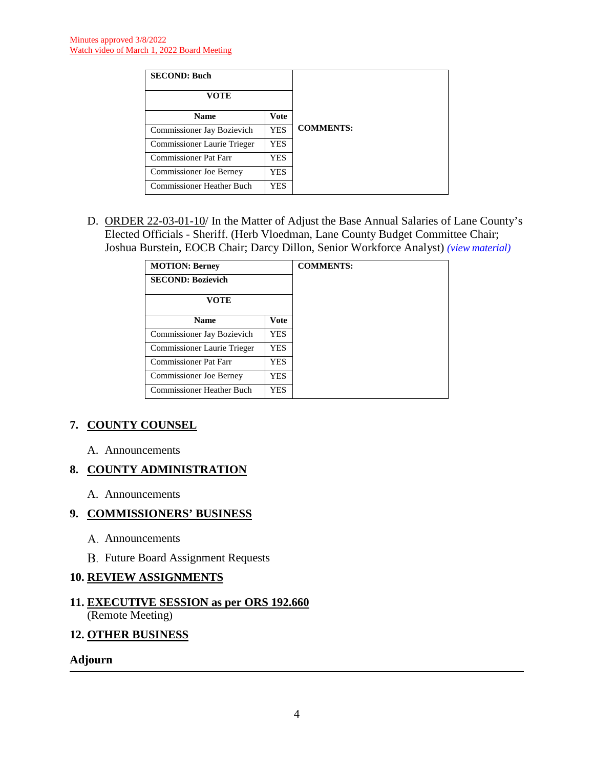| <b>SECOND: Buch</b>            |             |                  |
|--------------------------------|-------------|------------------|
| VOTE                           |             |                  |
| <b>Name</b>                    | <b>Vote</b> |                  |
| Commissioner Jay Bozievich     | <b>YES</b>  | <b>COMMENTS:</b> |
| Commissioner Laurie Trieger    | <b>YES</b>  |                  |
| <b>Commissioner Pat Farr</b>   | <b>YES</b>  |                  |
| <b>Commissioner Joe Berney</b> | <b>YES</b>  |                  |
| Commissioner Heather Buch      | YES         |                  |

D. ORDER 22-03-01-10/ In the Matter of Adjust the Base Annual Salaries of Lane County's Elected Officials - Sheriff. (Herb Vloedman, Lane County Budget Committee Chair; Joshua Burstein, EOCB Chair; Darcy Dillon, Senior Workforce Analyst) *(view [material\)](http://www.lanecountyor.gov/UserFiles/Servers/Server_3585797/File/Government/BCC/2022/2022_AGENDAS/030122agenda/T.6.D.pdf)*

| <b>MOTION: Berney</b>            |             |
|----------------------------------|-------------|
| <b>SECOND: Bozievich</b>         |             |
| VOTE                             |             |
| <b>Name</b>                      | <b>Vote</b> |
| Commissioner Jay Bozievich       | YES.        |
| Commissioner Laurie Trieger      | YES.        |
| <b>Commissioner Pat Farr</b>     | YES.        |
| <b>Commissioner Joe Berney</b>   | YES.        |
| <b>Commissioner Heather Buch</b> | YES.        |

# **7. COUNTY COUNSEL**

A. Announcements

# **8. COUNTY ADMINISTRATION**

A. Announcements

#### **9. COMMISSIONERS' BUSINESS**

- A. Announcements
- B. Future Board Assignment Requests

#### **10. REVIEW ASSIGNMENTS**

### **11. EXECUTIVE SESSION as per ORS 192.660** (Remote Meeting)

#### **12. OTHER BUSINESS**

#### **Adjourn**